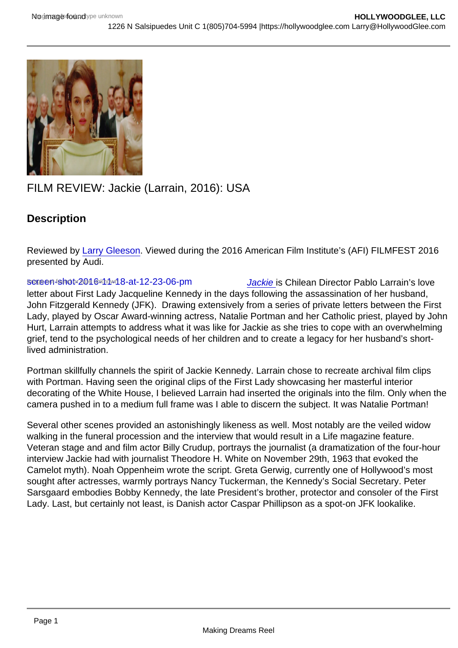# FILM REVIEW: Jackie (Larrain, 2016): USA

**Description** 

Reviewed by [Larry Gleeson](http://sbccfilmreviews.org/?s=larry+gleeson). Viewed during the 2016 American Film Institute's (AFI) FILMFEST 2016 presented by Audi.

screen+shot-2046-44-4M-8-at-12-23-06-pm [Jackie i](http://www.imdb.com/title/tt1619029/?ref_=fn_al_tt_1)s Chilean Director Pablo Larrain's love letter about First Lady Jacqueline Kennedy in the days following the assassination of her husband, John Fitzgerald Kennedy (JFK). Drawing extensively from a series of private letters between the First Lady, played by Oscar Award-winning actress, Natalie Portman and her Catholic priest, played by John Hurt, Larrain attempts to address what it was like for Jackie as she tries to cope with an overwhelming grief, tend to the psychological needs of her children and to create a legacy for her husband's shortlived administration.

Portman skillfully channels the spirit of Jackie Kennedy. Larrain chose to recreate archival film clips with Portman. Having seen the original clips of the First Lady showcasing her masterful interior decorating of the White House, I believed Larrain had inserted the originals into the film. Only when the camera pushed in to a medium full frame was I able to discern the subject. It was Natalie Portman!

Several other scenes provided an astonishingly likeness as well. Most notably are the veiled widow walking in the funeral procession and the interview that would result in a Life magazine feature. Veteran stage and and film actor Billy Crudup, portrays the journalist (a dramatization of the four-hour interview Jackie had with journalist Theodore H. White on November 29th, 1963 that evoked the Camelot myth). Noah Oppenheim wrote the script. Greta Gerwig, currently one of Hollywood's most sought after actresses, warmly portrays Nancy Tuckerman, the Kennedy's Social Secretary. Peter Sarsgaard embodies Bobby Kennedy, the late President's brother, protector and consoler of the First Lady. Last, but certainly not least, is Danish actor Caspar Phillipson as a spot-on JFK lookalike.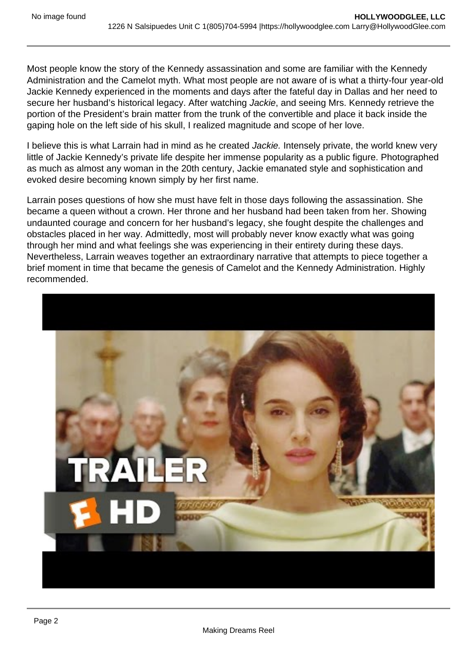Most people know the story of the Kennedy assassination and some are familiar with the Kennedy Administration and the Camelot myth. What most people are not aware of is what a thirty-four year-old Jackie Kennedy experienced in the moments and days after the fateful day in Dallas and her need to secure her husband's historical legacy. After watching Jackie, and seeing Mrs. Kennedy retrieve the portion of the President's brain matter from the trunk of the convertible and place it back inside the gaping hole on the left side of his skull, I realized magnitude and scope of her love.

I believe this is what Larrain had in mind as he created Jackie. Intensely private, the world knew very little of Jackie Kennedy's private life despite her immense popularity as a public figure. Photographed as much as almost any woman in the 20th century, Jackie emanated style and sophistication and evoked desire becoming known simply by her first name.

Larrain poses questions of how she must have felt in those days following the assassination. She became a queen without a crown. Her throne and her husband had been taken from her. Showing undaunted courage and concern for her husband's legacy, she fought despite the challenges and obstacles placed in her way. Admittedly, most will probably never know exactly what was going through her mind and what feelings she was experiencing in their entirety during these days. Nevertheless, Larrain weaves together an extraordinary narrative that attempts to piece together a brief moment in time that became the genesis of Camelot and the Kennedy Administration. Highly recommended.